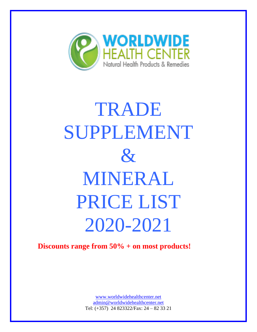

# TRADE SUPPLEMENT  $\mathcal{X}$ MINERAL PRICE LIST 2020-2021

## **Discounts range from 50% + on most products!**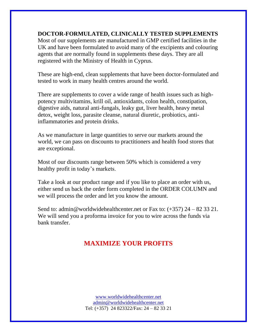#### **DOCTOR-FORMULATED, CLINICALLY TESTED SUPPLEMENTS**

Most of our supplements are manufactured in GMP certified facilities in the UK and have been formulated to avoid many of the excipients and colouring agents that are normally found in supplements these days. They are all registered with the Ministry of Health in Cyprus.

These are high-end, clean supplements that have been doctor-formulated and tested to work in many health centres around the world.

There are supplements to cover a wide range of health issues such as highpotency multivitamins, krill oil, antioxidants, colon health, constipation, digestive aids, natural anti-fungals, leaky gut, liver health, heavy metal detox, weight loss, parasite cleanse, natural diuretic, probiotics, antiinflammatories and protein drinks.

As we manufacture in large quantities to serve our markets around the world, we can pass on discounts to practitioners and health food stores that are exceptional.

Most of our discounts range between 50% which is considered a very healthy profit in today's markets.

Take a look at our product range and if you like to place an order with us, either send us back the order form completed in the ORDER COLUMN and we will process the order and let you know the amount.

Send to: admin@worldwidehealthcenter.net or Fax to:  $(+357)$  24 – 82 33 21. We will send you a proforma invoice for you to wire across the funds via bank transfer.

### **MAXIMIZE YOUR PROFITS**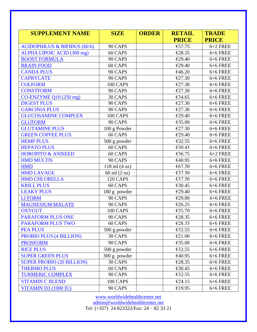| <b>SUPPLEMENT NAME</b>                  | <b>SIZE</b>       | <b>ORDER</b> | <b>RETAIL</b> | <b>TRADE</b> |
|-----------------------------------------|-------------------|--------------|---------------|--------------|
|                                         |                   |              | <b>PRICE</b>  | <b>PRICE</b> |
| <b>ACIDOPHILUS &amp; BIFIDUS (60 b)</b> | 90 CAPS           |              | €57.75        | $6+2$ FREE   |
| ALPHA LIPOIC ACID (300 mg)              | 60 CAPS           |              | €28.35        | 6+6 FREE     |
| <b>BOOST FORMULA</b>                    | 90 CAPS           |              | €29.40        | 6+6 FREE     |
| <b>BRAIN FOOD</b>                       | 60 CAPS           |              | €29.40        | $6+6$ FREE   |
| <b>CANDA PLUS</b>                       | 90 CAPS           |              | €46.20        | 6+6 FREE     |
| <b>CAPRYLATE</b>                        | 90 CAPS           |              | €27.30        | $6+6$ FREE   |
| <b>COLFORM</b>                          | 100 CAPS          |              | €27.30        | 6+6 FREE     |
| <b>CONSTFORM</b>                        | 90 CAPS           |              | €27.30        | $6+6$ FREE   |
| CO-ENZYME Q10 (250 mg)                  | 30 CAPS           |              | €34.65        | 6+6 FREE     |
| <b>DIGEST PLUS</b>                      | 90 CAPS           |              | €27.30        | $6+6$ FREE   |
| <b>GARCINIA PLUS</b>                    | 90 CAPS           |              | €27.30        | 6+6 FREE     |
| <b>GLUCOSAMINE COMPLEX</b>              | 100 CAPS          |              | €29.40        | $6+6$ FREE   |
| <b>GLUFORM</b>                          | 90 CAPS           |              | €35.00        | 6+6 FREE     |
| <b>GLUTAMINE PLUS</b>                   | 100 g Powder      |              | €27.30        | 6+6 FREE     |
| <b>GREEN COFFEE PLUS</b>                | 60 CAPS           |              | €29.40        | 6+6 FREE     |
| <b>HEMP PLUS</b>                        | 500 g powder      |              | €32.55        | $6+6$ FREE   |
| <b>HEPATO PLUS</b>                      | 60 CAPS           |              | €30.45        | 6+6 FREE     |
| <b>HOROPITO &amp; ANISEED</b>           | 60 CAPS           |              | €36.75        | $6+2$ FREE   |
| <b>HMD MULTIS</b>                       | 90 CAPS           |              | €40.95        | 6+6 FREE     |
| <b>HMD</b>                              | $118$ ml $(4 oz)$ |              | €67.50        | 6+6 FREE     |
| <b>HMD LAVAGE</b>                       | 60 ml (2 oz)      |              | €37.50        | 6+6 FREE     |
| <b>HMD CHLORELLA</b>                    | <b>120 CAPS</b>   |              | €37.50        | 6+6 FREE     |
| <b>KRILL PLUS</b>                       | 60 CAPS           |              | €30.45        | 6+6 FREE     |
| <b>LEAKY PLUS</b>                       | 180 g powder      |              | €29.40        | 6+6 FREE     |
| <b>LIFORM</b>                           | 90 CAPS           |              | €29.00        | 6+6 FREE     |
| <b>MAGNESIUM MALATE</b>                 | 90 CAPS           |              | €26.25        | $6+6$ FREE   |
| <b>OXYGUT</b>                           | 100 CAPS          |              | €35.70        | 6+6 FREE     |
| <b>PARAFORM PLUS ONE</b>                | 90 CAPS           |              | €28.35        | 6+6 FREE     |
| <b>PARAFORM PLUS TWO</b>                | 60 CAPS           |              | €28.35        | 6+6 FREE     |
| <b>PEA PLUS</b>                         | 500 g powder      |              | €32.55        | $6+6$ FREE   |
| <b>PROBIO PLUS (4 BILLION)</b>          | 30 CAPS           |              | €21.00        | $6+6$ FREE   |
| <b>PROSFORM</b>                         | 90 CAPS           |              | €35.00        | 6+6 FREE     |
| <b>RICE PLUS</b>                        | 500 g powder      |              | €32.55        | 6+6 FREE     |
| <b>SUPER GREEN PLUS</b>                 | 300 g powder      |              | €40.95        | $6+6$ FREE   |
| <b>SUPER PROBIO (20 BILLION)</b>        | 30 CAPS           |              | €28.35        | $6+6$ FREE   |
| <b>THERMO PLUS</b>                      | 60 CAPS           |              | €30.45        | 6+6 FREE     |
| <b>TURMERIC COMPLEX</b>                 | 90 CAPS           |              | €32.55        | 6+6 FREE     |
| <b>VITAMIN C BLEND</b>                  | 100 CAPS          |              | €24.15        | 6+6 FREE     |
| <b>VITAMIN D3 (1000 IU)</b>             | 90 CAPS           |              | €19.95        | 6+6 FREE     |